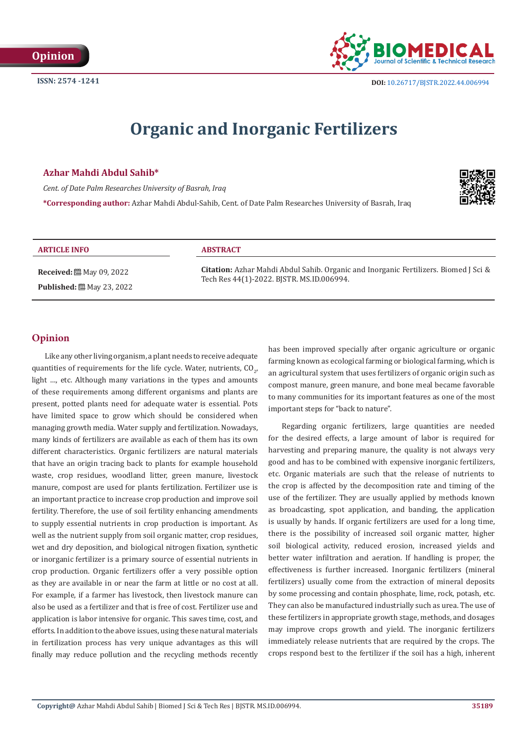

# **Organic and Inorganic Fertilizers**

# **Azhar Mahdi Abdul Sahib\***

*Cent. of Date Palm Researches University of Basrah, Iraq*

**\*Corresponding author:** Azhar Mahdi Abdul-Sahib, Cent. of Date Palm Researches University of Basrah, Iraq



# **ARTICLE INFO ABSTRACT**

**Received:** ■ May 09, 2022 **Published:** ■ May 23, 2022

**Citation:** Azhar Mahdi Abdul Sahib. Organic and Inorganic Fertilizers. Biomed J Sci & Tech Res 44(1)-2022. BJSTR. MS.ID.006994.

# **Opinion**

Like any other living organism, a plant needs to receive adequate quantities of requirements for the life cycle. Water, nutrients,  $\mathfrak{CO}_{2'}$ light …, etc. Although many variations in the types and amounts of these requirements among different organisms and plants are present, potted plants need for adequate water is essential. Pots have limited space to grow which should be considered when managing growth media. Water supply and fertilization. Nowadays, many kinds of fertilizers are available as each of them has its own different characteristics. Organic fertilizers are natural materials that have an origin tracing back to plants for example household waste, crop residues, woodland litter, green manure, livestock manure, compost are used for plants fertilization. Fertilizer use is an important practice to increase crop production and improve soil fertility. Therefore, the use of soil fertility enhancing amendments to supply essential nutrients in crop production is important. As well as the nutrient supply from soil organic matter, crop residues, wet and dry deposition, and biological nitrogen fixation, synthetic or inorganic fertilizer is a primary source of essential nutrients in crop production. Organic fertilizers offer a very possible option as they are available in or near the farm at little or no cost at all. For example, if a farmer has livestock, then livestock manure can also be used as a fertilizer and that is free of cost. Fertilizer use and application is labor intensive for organic. This saves time, cost, and efforts. In addition to the above issues, using these natural materials in fertilization process has very unique advantages as this will finally may reduce pollution and the recycling methods recently

has been improved specially after organic agriculture or organic farming known as ecological farming or biological farming, which is an agricultural system that uses fertilizers of organic origin such as compost manure, green manure, and bone meal became favorable to many communities for its important features as one of the most important steps for "back to nature".

Regarding organic fertilizers, large quantities are needed for the desired effects, a large amount of labor is required for harvesting and preparing manure, the quality is not always very good and has to be combined with expensive inorganic fertilizers, etc. Organic materials are such that the release of nutrients to the crop is affected by the decomposition rate and timing of the use of the fertilizer. They are usually applied by methods known as broadcasting, spot application, and banding, the application is usually by hands. If organic fertilizers are used for a long time, there is the possibility of increased soil organic matter, higher soil biological activity, reduced erosion, increased yields and better water infiltration and aeration. If handling is proper, the effectiveness is further increased. Inorganic fertilizers (mineral fertilizers) usually come from the extraction of mineral deposits by some processing and contain phosphate, lime, rock, potash, etc. They can also be manufactured industrially such as urea. The use of these fertilizers in appropriate growth stage, methods, and dosages may improve crops growth and yield. The inorganic fertilizers immediately release nutrients that are required by the crops. The crops respond best to the fertilizer if the soil has a high, inherent